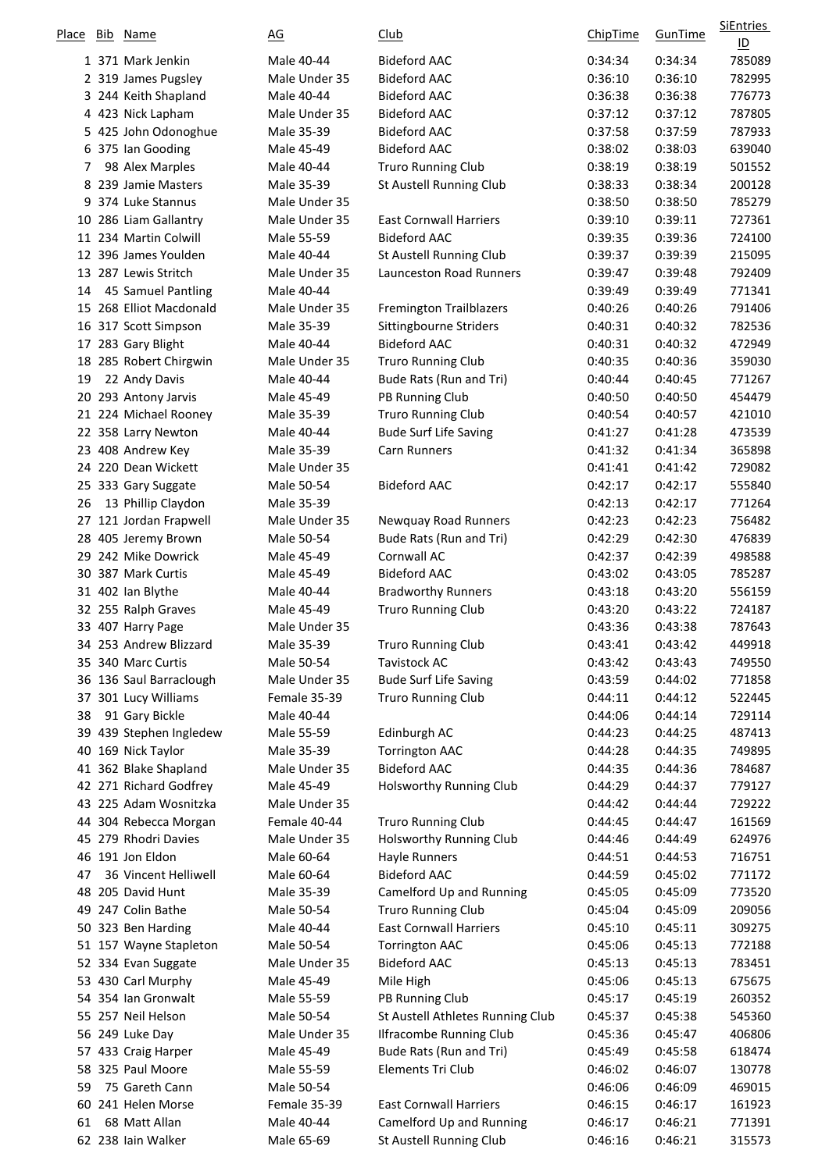| Place | Bib Name                                 | AG                       | <u>Club</u>                                         | <b>ChipTime</b>    | GunTime            | SiEntries<br>$\underline{\mathsf{ID}}$ |
|-------|------------------------------------------|--------------------------|-----------------------------------------------------|--------------------|--------------------|----------------------------------------|
|       | 1 371 Mark Jenkin                        | Male 40-44               | <b>Bideford AAC</b>                                 | 0:34:34            | 0:34:34            | 785089                                 |
|       | 2 319 James Pugsley                      | Male Under 35            | <b>Bideford AAC</b>                                 | 0:36:10            | 0:36:10            | 782995                                 |
|       | 3 244 Keith Shapland                     | Male 40-44               | <b>Bideford AAC</b>                                 | 0:36:38            | 0:36:38            | 776773                                 |
|       | 4 423 Nick Lapham                        | Male Under 35            | <b>Bideford AAC</b>                                 | 0:37:12            | 0:37:12            | 787805                                 |
|       | 5 425 John Odonoghue                     | Male 35-39               | <b>Bideford AAC</b>                                 | 0:37:58            | 0:37:59            | 787933                                 |
|       | 6 375 Ian Gooding                        | Male 45-49               | <b>Bideford AAC</b>                                 | 0:38:02            | 0:38:03            | 639040                                 |
| 7     | 98 Alex Marples                          | Male 40-44               | <b>Truro Running Club</b>                           | 0:38:19            | 0:38:19            | 501552                                 |
|       | 8 239 Jamie Masters                      | Male 35-39               | St Austell Running Club                             | 0:38:33            | 0:38:34            | 200128                                 |
|       | 9 374 Luke Stannus                       | Male Under 35            |                                                     | 0:38:50            | 0:38:50            | 785279                                 |
|       | 10 286 Liam Gallantry                    | Male Under 35            | <b>East Cornwall Harriers</b>                       | 0:39:10            | 0:39:11            | 727361                                 |
|       | 11 234 Martin Colwill                    | Male 55-59               | <b>Bideford AAC</b>                                 | 0:39:35            | 0:39:36            | 724100                                 |
|       | 12 396 James Youlden                     | Male 40-44               | St Austell Running Club                             | 0:39:37            | 0:39:39            | 215095                                 |
|       | 13 287 Lewis Stritch                     | Male Under 35            | Launceston Road Runners                             | 0:39:47            | 0:39:48            | 792409                                 |
| 14    | 45 Samuel Pantling                       | Male 40-44               |                                                     | 0:39:49            | 0:39:49            | 771341                                 |
|       | 15 268 Elliot Macdonald                  | Male Under 35            | <b>Fremington Trailblazers</b>                      | 0:40:26            | 0:40:26            | 791406                                 |
|       | 16 317 Scott Simpson                     | Male 35-39               | Sittingbourne Striders                              | 0:40:31            | 0:40:32            | 782536                                 |
|       | 17 283 Gary Blight                       | Male 40-44               | <b>Bideford AAC</b>                                 | 0:40:31            | 0:40:32            | 472949                                 |
|       | 18 285 Robert Chirgwin                   | Male Under 35            | <b>Truro Running Club</b>                           | 0:40:35            | 0:40:36            | 359030                                 |
| 19    | 22 Andy Davis                            | Male 40-44               | Bude Rats (Run and Tri)                             | 0:40:44            | 0:40:45            | 771267<br>454479                       |
|       | 20 293 Antony Jarvis                     | Male 45-49               | PB Running Club                                     | 0:40:50            | 0:40:50<br>0:40:57 |                                        |
|       | 21 224 Michael Rooney                    | Male 35-39               | Truro Running Club                                  | 0:40:54<br>0:41:27 | 0:41:28            | 421010                                 |
|       | 22 358 Larry Newton<br>23 408 Andrew Key | Male 40-44<br>Male 35-39 | <b>Bude Surf Life Saving</b><br><b>Carn Runners</b> | 0:41:32            | 0:41:34            | 473539<br>365898                       |
|       | 24 220 Dean Wickett                      | Male Under 35            |                                                     | 0:41:41            | 0:41:42            | 729082                                 |
|       | 25 333 Gary Suggate                      | Male 50-54               | <b>Bideford AAC</b>                                 | 0:42:17            | 0:42:17            | 555840                                 |
| 26    | 13 Phillip Claydon                       | Male 35-39               |                                                     | 0:42:13            | 0:42:17            | 771264                                 |
| 27    | 121 Jordan Frapwell                      | Male Under 35            | Newquay Road Runners                                | 0:42:23            | 0:42:23            | 756482                                 |
|       | 28 405 Jeremy Brown                      | Male 50-54               | Bude Rats (Run and Tri)                             | 0:42:29            | 0:42:30            | 476839                                 |
|       | 29 242 Mike Dowrick                      | Male 45-49               | Cornwall AC                                         | 0:42:37            | 0:42:39            | 498588                                 |
|       | 30 387 Mark Curtis                       | Male 45-49               | <b>Bideford AAC</b>                                 | 0:43:02            | 0:43:05            | 785287                                 |
|       | 31 402 Ian Blythe                        | Male 40-44               | <b>Bradworthy Runners</b>                           | 0:43:18            | 0:43:20            | 556159                                 |
|       | 32 255 Ralph Graves                      | Male 45-49               | <b>Truro Running Club</b>                           | 0:43:20            | 0:43:22            | 724187                                 |
|       | 33 407 Harry Page                        | Male Under 35            |                                                     | 0:43:36            | 0:43:38            | 787643                                 |
|       | 34 253 Andrew Blizzard                   | Male 35-39               | <b>Truro Running Club</b>                           | 0:43:41            | 0:43:42            | 449918                                 |
|       | 35 340 Marc Curtis                       | Male 50-54               | <b>Tavistock AC</b>                                 | 0:43:42            | 0:43:43            | 749550                                 |
|       | 36 136 Saul Barraclough                  | Male Under 35            | <b>Bude Surf Life Saving</b>                        | 0:43:59            | 0:44:02            | 771858                                 |
|       | 37 301 Lucy Williams                     | Female 35-39             | Truro Running Club                                  | 0:44:11            | 0:44:12            | 522445                                 |
| 38    | 91 Gary Bickle                           | Male 40-44               |                                                     | 0:44:06            | 0:44:14            | 729114                                 |
|       | 39 439 Stephen Ingledew                  | Male 55-59               | Edinburgh AC                                        | 0:44:23            | 0:44:25            | 487413                                 |
|       | 40 169 Nick Taylor                       | Male 35-39               | <b>Torrington AAC</b>                               | 0:44:28            | 0:44:35            | 749895                                 |
|       | 41 362 Blake Shapland                    | Male Under 35            | <b>Bideford AAC</b>                                 | 0:44:35            | 0:44:36            | 784687                                 |
|       | 42 271 Richard Godfrey                   | Male 45-49               | <b>Holsworthy Running Club</b>                      | 0:44:29            | 0:44:37            | 779127                                 |
|       | 43 225 Adam Wosnitzka                    | Male Under 35            |                                                     | 0:44:42            | 0:44:44            | 729222                                 |
|       | 44 304 Rebecca Morgan                    | Female 40-44             | Truro Running Club                                  | 0:44:45            | 0:44:47            | 161569                                 |
|       | 45 279 Rhodri Davies                     | Male Under 35            | Holsworthy Running Club                             | 0:44:46            | 0:44:49            | 624976                                 |
| 47    | 46 191 Jon Eldon<br>36 Vincent Helliwell | Male 60-64<br>Male 60-64 | Hayle Runners<br><b>Bideford AAC</b>                | 0:44:51<br>0:44:59 | 0:44:53<br>0:45:02 | 716751<br>771172                       |
|       | 48 205 David Hunt                        | Male 35-39               | Camelford Up and Running                            | 0:45:05            | 0:45:09            | 773520                                 |
|       | 49 247 Colin Bathe                       | Male 50-54               | <b>Truro Running Club</b>                           | 0:45:04            | 0:45:09            | 209056                                 |
|       | 50 323 Ben Harding                       | Male 40-44               | <b>East Cornwall Harriers</b>                       | 0:45:10            | 0:45:11            | 309275                                 |
|       | 51 157 Wayne Stapleton                   | Male 50-54               | <b>Torrington AAC</b>                               | 0:45:06            | 0:45:13            | 772188                                 |
|       | 52 334 Evan Suggate                      | Male Under 35            | <b>Bideford AAC</b>                                 | 0:45:13            | 0:45:13            | 783451                                 |
|       | 53 430 Carl Murphy                       | Male 45-49               | Mile High                                           | 0:45:06            | 0:45:13            | 675675                                 |
|       | 54 354 Ian Gronwalt                      | Male 55-59               | PB Running Club                                     | 0:45:17            | 0:45:19            | 260352                                 |
|       | 55 257 Neil Helson                       | Male 50-54               | St Austell Athletes Running Club                    | 0:45:37            | 0:45:38            | 545360                                 |
|       | 56 249 Luke Day                          | Male Under 35            | <b>Ilfracombe Running Club</b>                      | 0:45:36            | 0:45:47            | 406806                                 |
|       | 57 433 Craig Harper                      | Male 45-49               | Bude Rats (Run and Tri)                             | 0:45:49            | 0:45:58            | 618474                                 |
|       | 58 325 Paul Moore                        | Male 55-59               | Elements Tri Club                                   | 0:46:02            | 0:46:07            | 130778                                 |
| 59    | 75 Gareth Cann                           | Male 50-54               |                                                     | 0:46:06            | 0:46:09            | 469015                                 |
|       | 60 241 Helen Morse                       | Female 35-39             | <b>East Cornwall Harriers</b>                       | 0:46:15            | 0:46:17            | 161923                                 |
| 61    | 68 Matt Allan                            | Male 40-44               | Camelford Up and Running                            | 0:46:17            | 0:46:21            | 771391                                 |
|       | 62 238 Iain Walker                       | Male 65-69               | St Austell Running Club                             | 0:46:16            | 0:46:21            | 315573                                 |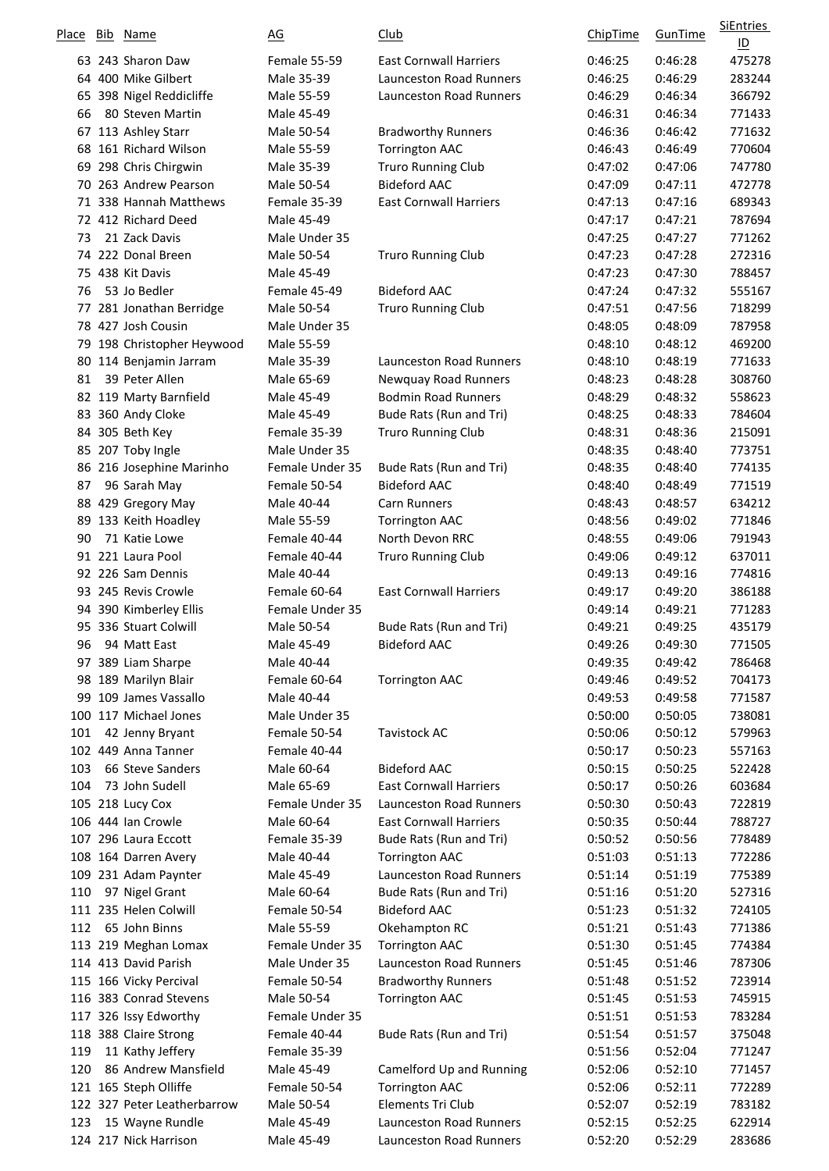| Place | Bib Name                    | $\underline{\mathsf{AG}}$ | <u>Club</u>                    | <b>ChipTime</b> | GunTime | <b>SiEntries</b><br>$\underline{\mathsf{ID}}$ |
|-------|-----------------------------|---------------------------|--------------------------------|-----------------|---------|-----------------------------------------------|
|       | 63 243 Sharon Daw           | Female 55-59              | <b>East Cornwall Harriers</b>  | 0:46:25         | 0:46:28 | 475278                                        |
|       | 64 400 Mike Gilbert         | Male 35-39                | <b>Launceston Road Runners</b> | 0:46:25         | 0:46:29 | 283244                                        |
|       | 65 398 Nigel Reddicliffe    | Male 55-59                | <b>Launceston Road Runners</b> | 0:46:29         | 0:46:34 | 366792                                        |
| 66    | 80 Steven Martin            | Male 45-49                |                                | 0:46:31         | 0:46:34 | 771433                                        |
|       | 67 113 Ashley Starr         | Male 50-54                | <b>Bradworthy Runners</b>      | 0:46:36         | 0:46:42 | 771632                                        |
|       | 68 161 Richard Wilson       | Male 55-59                | <b>Torrington AAC</b>          | 0:46:43         | 0:46:49 | 770604                                        |
| 69    | 298 Chris Chirgwin          | Male 35-39                | <b>Truro Running Club</b>      | 0:47:02         | 0:47:06 | 747780                                        |
|       | 70 263 Andrew Pearson       | Male 50-54                | <b>Bideford AAC</b>            | 0:47:09         | 0:47:11 | 472778                                        |
|       | 71 338 Hannah Matthews      | Female 35-39              | <b>East Cornwall Harriers</b>  | 0:47:13         | 0:47:16 | 689343                                        |
|       | 72 412 Richard Deed         | Male 45-49                |                                | 0:47:17         | 0:47:21 | 787694                                        |
| 73    | 21 Zack Davis               | Male Under 35             |                                | 0:47:25         | 0:47:27 | 771262                                        |
|       | 74 222 Donal Breen          | Male 50-54                | <b>Truro Running Club</b>      | 0:47:23         | 0:47:28 | 272316                                        |
|       | 75 438 Kit Davis            | Male 45-49                |                                | 0:47:23         | 0:47:30 | 788457                                        |
| 76    | 53 Jo Bedler                | Female 45-49              | <b>Bideford AAC</b>            | 0:47:24         | 0:47:32 | 555167                                        |
| 77    | 281 Jonathan Berridge       | Male 50-54                | <b>Truro Running Club</b>      | 0:47:51         | 0:47:56 | 718299                                        |
|       | 78 427 Josh Cousin          | Male Under 35             |                                | 0:48:05         | 0:48:09 | 787958                                        |
|       | 79 198 Christopher Heywood  | Male 55-59                |                                | 0:48:10         | 0:48:12 | 469200                                        |
|       | 80 114 Benjamin Jarram      | Male 35-39                | <b>Launceston Road Runners</b> | 0:48:10         | 0:48:19 | 771633                                        |
| 81    | 39 Peter Allen              | Male 65-69                | Newquay Road Runners           | 0:48:23         | 0:48:28 | 308760                                        |
|       | 82 119 Marty Barnfield      | Male 45-49                | <b>Bodmin Road Runners</b>     | 0:48:29         | 0:48:32 | 558623                                        |
|       | 83 360 Andy Cloke           | Male 45-49                | Bude Rats (Run and Tri)        | 0:48:25         | 0:48:33 | 784604                                        |
|       | 84 305 Beth Key             | Female 35-39              | <b>Truro Running Club</b>      | 0:48:31         | 0:48:36 | 215091                                        |
|       | 85 207 Toby Ingle           | Male Under 35             |                                | 0:48:35         | 0:48:40 | 773751                                        |
|       | 86 216 Josephine Marinho    | Female Under 35           | Bude Rats (Run and Tri)        | 0:48:35         | 0:48:40 | 774135                                        |
| 87    | 96 Sarah May                | Female 50-54              | <b>Bideford AAC</b>            | 0:48:40         | 0:48:49 | 771519                                        |
|       | 88 429 Gregory May          | Male 40-44                | <b>Carn Runners</b>            | 0:48:43         | 0:48:57 | 634212                                        |
| 89    | 133 Keith Hoadley           | Male 55-59                | <b>Torrington AAC</b>          | 0:48:56         | 0:49:02 | 771846                                        |
| 90    | 71 Katie Lowe               | Female 40-44              | North Devon RRC                | 0:48:55         | 0:49:06 | 791943                                        |
|       | 91 221 Laura Pool           | Female 40-44              | Truro Running Club             | 0:49:06         | 0:49:12 | 637011                                        |
|       | 92 226 Sam Dennis           | Male 40-44                |                                | 0:49:13         | 0:49:16 | 774816                                        |
|       | 93 245 Revis Crowle         | Female 60-64              | <b>East Cornwall Harriers</b>  | 0:49:17         | 0:49:20 | 386188                                        |
| 94    | 390 Kimberley Ellis         | Female Under 35           |                                | 0:49:14         | 0:49:21 | 771283                                        |
|       | 95 336 Stuart Colwill       | Male 50-54                | Bude Rats (Run and Tri)        | 0:49:21         | 0:49:25 | 435179                                        |
| 96    | 94 Matt East                | Male 45-49                | <b>Bideford AAC</b>            | 0:49:26         | 0:49:30 | 771505                                        |
|       | 97 389 Liam Sharpe          | Male 40-44                |                                | 0:49:35         | 0:49:42 | 786468                                        |
|       | 98 189 Marilyn Blair        | Female 60-64              | <b>Torrington AAC</b>          | 0:49:46         | 0:49:52 | 704173                                        |
|       | 99 109 James Vassallo       | Male 40-44                |                                | 0:49:53         | 0:49:58 | 771587                                        |
|       | 100 117 Michael Jones       | Male Under 35             |                                | 0:50:00         | 0:50:05 | 738081                                        |
| 101   | 42 Jenny Bryant             | Female 50-54              | <b>Tavistock AC</b>            | 0:50:06         | 0:50:12 | 579963                                        |
|       | 102 449 Anna Tanner         | Female 40-44              |                                | 0:50:17         | 0:50:23 | 557163                                        |
| 103   | 66 Steve Sanders            | Male 60-64                | <b>Bideford AAC</b>            | 0:50:15         | 0:50:25 | 522428                                        |
| 104   | 73 John Sudell              | Male 65-69                | <b>East Cornwall Harriers</b>  | 0:50:17         | 0:50:26 | 603684                                        |
|       | 105 218 Lucy Cox            | Female Under 35           | Launceston Road Runners        | 0:50:30         | 0:50:43 | 722819                                        |
|       | 106 444 Ian Crowle          | Male 60-64                | <b>East Cornwall Harriers</b>  | 0:50:35         | 0:50:44 | 788727                                        |
|       | 107 296 Laura Eccott        | Female 35-39              | Bude Rats (Run and Tri)        | 0:50:52         | 0:50:56 | 778489                                        |
|       | 108 164 Darren Avery        | Male 40-44                | <b>Torrington AAC</b>          | 0:51:03         | 0:51:13 | 772286                                        |
|       | 109 231 Adam Paynter        | Male 45-49                | Launceston Road Runners        | 0:51:14         | 0:51:19 | 775389                                        |
| 110   | 97 Nigel Grant              | Male 60-64                | Bude Rats (Run and Tri)        | 0:51:16         | 0:51:20 | 527316                                        |
|       | 111 235 Helen Colwill       | Female 50-54              | <b>Bideford AAC</b>            | 0:51:23         | 0:51:32 | 724105                                        |
| 112   | 65 John Binns               | Male 55-59                | Okehampton RC                  | 0:51:21         | 0:51:43 | 771386                                        |
|       | 113 219 Meghan Lomax        | Female Under 35           | <b>Torrington AAC</b>          | 0:51:30         | 0:51:45 | 774384                                        |
|       | 114 413 David Parish        | Male Under 35             | <b>Launceston Road Runners</b> | 0:51:45         | 0:51:46 | 787306                                        |
|       | 115 166 Vicky Percival      | Female 50-54              | <b>Bradworthy Runners</b>      | 0:51:48         | 0:51:52 | 723914                                        |
|       | 116 383 Conrad Stevens      | Male 50-54                | <b>Torrington AAC</b>          | 0:51:45         | 0:51:53 | 745915                                        |
|       | 117 326 Issy Edworthy       | Female Under 35           |                                | 0:51:51         | 0:51:53 | 783284                                        |
|       | 118 388 Claire Strong       | Female 40-44              | Bude Rats (Run and Tri)        | 0:51:54         | 0:51:57 | 375048                                        |
| 119   | 11 Kathy Jeffery            | Female 35-39              |                                | 0:51:56         | 0:52:04 | 771247                                        |
| 120   | 86 Andrew Mansfield         | Male 45-49                | Camelford Up and Running       | 0:52:06         | 0:52:10 | 771457                                        |
|       | 121 165 Steph Olliffe       | Female 50-54              | <b>Torrington AAC</b>          | 0:52:06         | 0:52:11 | 772289                                        |
|       | 122 327 Peter Leatherbarrow | Male 50-54                | Elements Tri Club              | 0:52:07         | 0:52:19 | 783182                                        |
| 123   | 15 Wayne Rundle             | Male 45-49                | <b>Launceston Road Runners</b> | 0:52:15         | 0:52:25 | 622914                                        |
|       | 124 217 Nick Harrison       | Male 45-49                | Launceston Road Runners        | 0:52:20         | 0:52:29 | 283686                                        |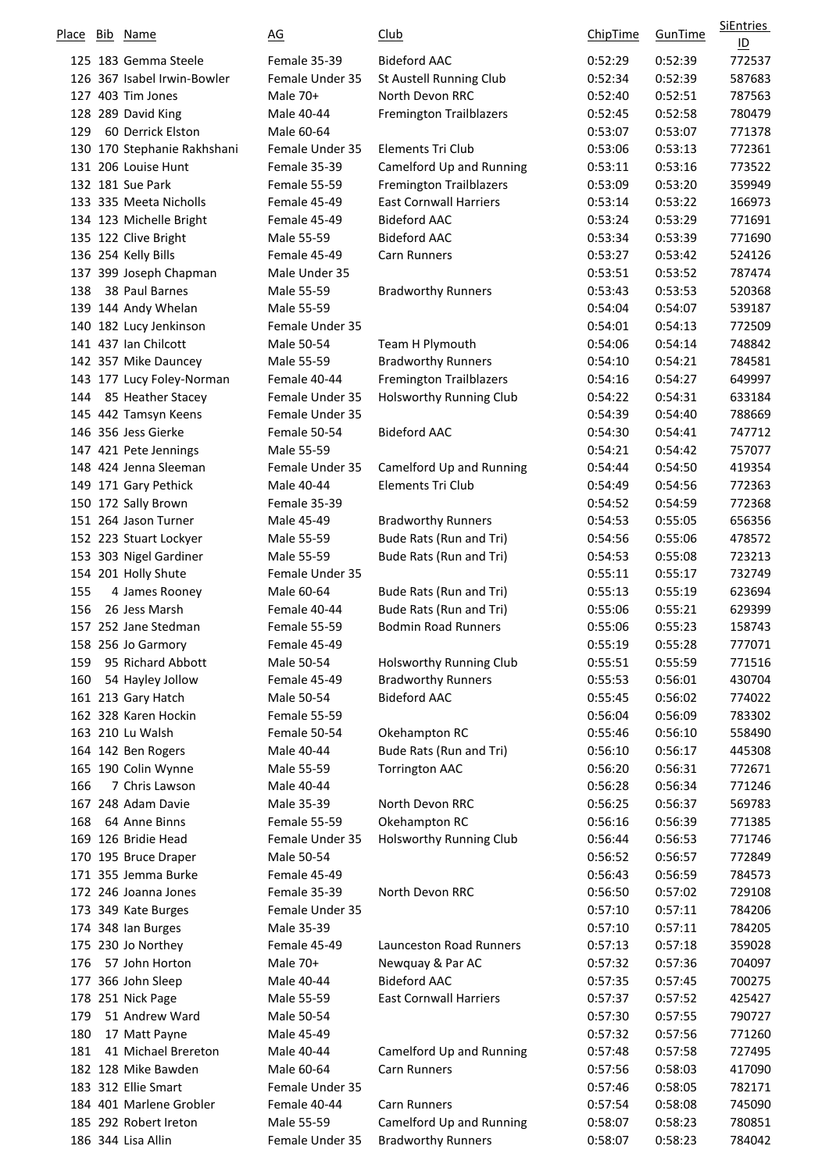| Place | <u>Bib</u> Name             | $\underline{AG}$ | <u>Club</u>                    | <b>ChipTime</b> | <b>GunTime</b> | SiEntries<br>$\underline{\mathsf{ID}}$ |
|-------|-----------------------------|------------------|--------------------------------|-----------------|----------------|----------------------------------------|
|       | 125 183 Gemma Steele        | Female 35-39     | <b>Bideford AAC</b>            | 0:52:29         | 0:52:39        | 772537                                 |
|       | 126 367 Isabel Irwin-Bowler | Female Under 35  | St Austell Running Club        | 0:52:34         | 0:52:39        | 587683                                 |
|       | 127 403 Tim Jones           | Male 70+         | North Devon RRC                | 0:52:40         | 0:52:51        | 787563                                 |
|       | 128 289 David King          | Male 40-44       | <b>Fremington Trailblazers</b> | 0:52:45         | 0:52:58        | 780479                                 |
| 129   | 60 Derrick Elston           | Male 60-64       |                                | 0:53:07         | 0:53:07        | 771378                                 |
|       | 130 170 Stephanie Rakhshani | Female Under 35  | Elements Tri Club              | 0:53:06         | 0:53:13        | 772361                                 |
|       | 131 206 Louise Hunt         | Female 35-39     | Camelford Up and Running       | 0:53:11         | 0:53:16        | 773522                                 |
|       | 132 181 Sue Park            | Female 55-59     | <b>Fremington Trailblazers</b> | 0:53:09         | 0:53:20        | 359949                                 |
|       | 133 335 Meeta Nicholls      | Female 45-49     | <b>East Cornwall Harriers</b>  | 0:53:14         | 0:53:22        | 166973                                 |
|       | 134 123 Michelle Bright     | Female 45-49     | <b>Bideford AAC</b>            | 0:53:24         | 0:53:29        | 771691                                 |
|       | 135 122 Clive Bright        | Male 55-59       | <b>Bideford AAC</b>            | 0:53:34         | 0:53:39        | 771690                                 |
|       | 136 254 Kelly Bills         | Female 45-49     | <b>Carn Runners</b>            | 0:53:27         | 0:53:42        | 524126                                 |
|       | 137 399 Joseph Chapman      | Male Under 35    |                                | 0:53:51         | 0:53:52        | 787474                                 |
| 138   | 38 Paul Barnes              | Male 55-59       | <b>Bradworthy Runners</b>      | 0:53:43         | 0:53:53        | 520368                                 |
|       | 139 144 Andy Whelan         | Male 55-59       |                                | 0:54:04         | 0:54:07        | 539187                                 |
|       | 140 182 Lucy Jenkinson      | Female Under 35  |                                | 0:54:01         | 0:54:13        | 772509                                 |
|       | 141 437 Ian Chilcott        | Male 50-54       | Team H Plymouth                | 0:54:06         | 0:54:14        | 748842                                 |
|       | 142 357 Mike Dauncey        | Male 55-59       | <b>Bradworthy Runners</b>      | 0:54:10         | 0:54:21        | 784581                                 |
|       | 143 177 Lucy Foley-Norman   | Female 40-44     | <b>Fremington Trailblazers</b> | 0:54:16         | 0:54:27        | 649997                                 |
| 144   | 85 Heather Stacey           | Female Under 35  | Holsworthy Running Club        | 0:54:22         | 0:54:31        | 633184                                 |
|       | 145 442 Tamsyn Keens        | Female Under 35  |                                | 0:54:39         | 0:54:40        | 788669                                 |
|       | 146 356 Jess Gierke         | Female 50-54     | <b>Bideford AAC</b>            | 0:54:30         | 0:54:41        | 747712                                 |
|       | 147 421 Pete Jennings       | Male 55-59       |                                | 0:54:21         | 0:54:42        | 757077                                 |
|       | 148 424 Jenna Sleeman       | Female Under 35  | Camelford Up and Running       | 0:54:44         | 0:54:50        | 419354                                 |
|       | 149 171 Gary Pethick        | Male 40-44       | <b>Elements Tri Club</b>       | 0:54:49         | 0:54:56        | 772363                                 |
|       | 150 172 Sally Brown         | Female 35-39     |                                | 0:54:52         | 0:54:59        | 772368                                 |
|       | 151 264 Jason Turner        | Male 45-49       | <b>Bradworthy Runners</b>      | 0:54:53         | 0:55:05        | 656356                                 |
|       | 152 223 Stuart Lockyer      | Male 55-59       | Bude Rats (Run and Tri)        | 0:54:56         | 0:55:06        | 478572                                 |
|       | 153 303 Nigel Gardiner      | Male 55-59       | Bude Rats (Run and Tri)        | 0:54:53         | 0:55:08        | 723213                                 |
|       | 154 201 Holly Shute         | Female Under 35  |                                | 0:55:11         | 0:55:17        | 732749                                 |
| 155   | 4 James Rooney              | Male 60-64       | Bude Rats (Run and Tri)        | 0:55:13         | 0:55:19        | 623694                                 |
| 156   | 26 Jess Marsh               | Female 40-44     | Bude Rats (Run and Tri)        | 0:55:06         | 0:55:21        | 629399                                 |
|       | 157 252 Jane Stedman        | Female 55-59     | <b>Bodmin Road Runners</b>     | 0:55:06         | 0:55:23        | 158743                                 |
|       | 158 256 Jo Garmory          | Female 45-49     |                                | 0:55:19         | 0:55:28        | 777071                                 |
| 159   | 95 Richard Abbott           | Male 50-54       | Holsworthy Running Club        | 0:55:51         | 0:55:59        | 771516                                 |
| 160   | 54 Hayley Jollow            | Female 45-49     | <b>Bradworthy Runners</b>      | 0:55:53         | 0:56:01        | 430704                                 |
|       | 161 213 Gary Hatch          | Male 50-54       | <b>Bideford AAC</b>            | 0:55:45         | 0:56:02        | 774022                                 |
|       | 162 328 Karen Hockin        | Female 55-59     |                                | 0:56:04         | 0:56:09        | 783302                                 |
|       | 163 210 Lu Walsh            | Female 50-54     | Okehampton RC                  | 0:55:46         | 0:56:10        | 558490                                 |
|       | 164 142 Ben Rogers          | Male 40-44       | Bude Rats (Run and Tri)        | 0:56:10         | 0:56:17        | 445308                                 |
|       | 165 190 Colin Wynne         | Male 55-59       | <b>Torrington AAC</b>          | 0:56:20         | 0:56:31        | 772671                                 |
| 166   | 7 Chris Lawson              | Male 40-44       |                                | 0:56:28         | 0:56:34        | 771246                                 |
|       | 167 248 Adam Davie          | Male 35-39       | North Devon RRC                | 0:56:25         | 0:56:37        | 569783                                 |
| 168   | 64 Anne Binns               | Female 55-59     | Okehampton RC                  | 0:56:16         | 0:56:39        | 771385                                 |
|       | 169 126 Bridie Head         | Female Under 35  | Holsworthy Running Club        | 0:56:44         | 0:56:53        | 771746                                 |
|       | 170 195 Bruce Draper        | Male 50-54       |                                | 0:56:52         | 0:56:57        | 772849                                 |
|       | 171 355 Jemma Burke         | Female 45-49     |                                | 0:56:43         | 0:56:59        | 784573                                 |
|       | 172 246 Joanna Jones        | Female 35-39     | North Devon RRC                | 0:56:50         | 0:57:02        | 729108                                 |
|       | 173 349 Kate Burges         | Female Under 35  |                                | 0:57:10         | 0:57:11        | 784206                                 |
|       | 174 348 Ian Burges          | Male 35-39       |                                | 0:57:10         | 0:57:11        | 784205                                 |
|       | 175 230 Jo Northey          | Female 45-49     | Launceston Road Runners        | 0:57:13         | 0:57:18        | 359028                                 |
| 176   | 57 John Horton              | Male 70+         | Newquay & Par AC               | 0:57:32         | 0:57:36        | 704097                                 |
|       | 177 366 John Sleep          | Male 40-44       | <b>Bideford AAC</b>            | 0:57:35         | 0:57:45        | 700275                                 |
|       | 178 251 Nick Page           | Male 55-59       | <b>East Cornwall Harriers</b>  | 0:57:37         | 0:57:52        | 425427                                 |
| 179   | 51 Andrew Ward              | Male 50-54       |                                | 0:57:30         | 0:57:55        | 790727                                 |
| 180   | 17 Matt Payne               | Male 45-49       |                                | 0:57:32         | 0:57:56        | 771260                                 |
| 181   | 41 Michael Brereton         | Male 40-44       | Camelford Up and Running       | 0:57:48         | 0:57:58        | 727495                                 |
|       | 182 128 Mike Bawden         | Male 60-64       | <b>Carn Runners</b>            | 0:57:56         | 0:58:03        | 417090                                 |
|       | 183 312 Ellie Smart         | Female Under 35  |                                | 0:57:46         | 0:58:05        | 782171                                 |
|       | 184 401 Marlene Grobler     | Female 40-44     | Carn Runners                   | 0:57:54         | 0:58:08        | 745090                                 |
|       | 185 292 Robert Ireton       | Male 55-59       | Camelford Up and Running       | 0:58:07         | 0:58:23        | 780851                                 |
|       | 186 344 Lisa Allin          | Female Under 35  | <b>Bradworthy Runners</b>      | 0:58:07         | 0:58:23        | 784042                                 |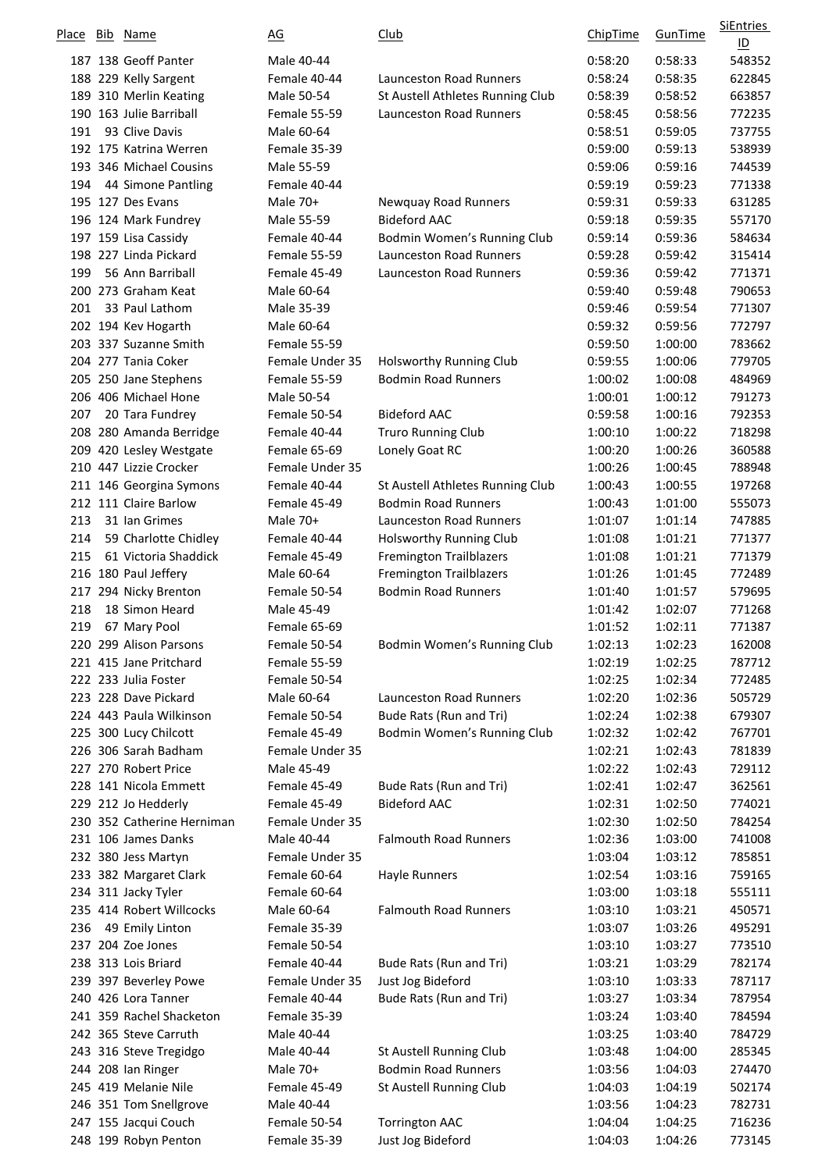| Place | Bib | Name                                          | <u>AG</u>                       | <u>Club</u>                      | ChipTime           | GunTime            | <b>SiEntries</b><br>$\underline{\mathsf{ID}}$ |
|-------|-----|-----------------------------------------------|---------------------------------|----------------------------------|--------------------|--------------------|-----------------------------------------------|
|       |     | 187 138 Geoff Panter                          | Male 40-44                      |                                  | 0:58:20            | 0:58:33            | 548352                                        |
|       |     | 188 229 Kelly Sargent                         | Female 40-44                    | <b>Launceston Road Runners</b>   | 0:58:24            | 0:58:35            | 622845                                        |
|       |     | 189 310 Merlin Keating                        | Male 50-54                      | St Austell Athletes Running Club | 0:58:39            | 0:58:52            | 663857                                        |
|       |     | 190 163 Julie Barriball                       | Female 55-59                    | <b>Launceston Road Runners</b>   | 0:58:45            | 0:58:56            | 772235                                        |
| 191   |     | 93 Clive Davis                                | Male 60-64                      |                                  | 0:58:51            | 0:59:05            | 737755                                        |
|       |     | 192 175 Katrina Werren                        | Female 35-39                    |                                  | 0:59:00            | 0:59:13            | 538939                                        |
|       |     | 193 346 Michael Cousins                       | Male 55-59                      |                                  | 0:59:06            | 0:59:16            | 744539                                        |
| 194   |     | 44 Simone Pantling                            | Female 40-44                    |                                  | 0:59:19            | 0:59:23            | 771338                                        |
|       |     | 195 127 Des Evans                             | Male 70+                        | Newquay Road Runners             | 0:59:31            | 0:59:33            | 631285                                        |
|       |     | 196 124 Mark Fundrey                          | Male 55-59                      | <b>Bideford AAC</b>              | 0:59:18            | 0:59:35            | 557170                                        |
|       |     | 197 159 Lisa Cassidy                          | Female 40-44                    | Bodmin Women's Running Club      | 0:59:14            | 0:59:36            | 584634                                        |
|       |     | 198 227 Linda Pickard                         | Female 55-59                    | <b>Launceston Road Runners</b>   | 0:59:28            | 0:59:42            | 315414                                        |
| 199   |     | 56 Ann Barriball                              | Female 45-49                    | <b>Launceston Road Runners</b>   | 0:59:36            | 0:59:42            | 771371                                        |
|       |     | 200 273 Graham Keat                           | Male 60-64                      |                                  | 0:59:40            | 0:59:48            | 790653                                        |
| 201   |     | 33 Paul Lathom                                | Male 35-39                      |                                  | 0:59:46            | 0:59:54            | 771307                                        |
|       |     | 202 194 Kev Hogarth                           | Male 60-64                      |                                  | 0:59:32            | 0:59:56            | 772797                                        |
|       |     | 203 337 Suzanne Smith                         | Female 55-59                    |                                  | 0:59:50            | 1:00:00            | 783662                                        |
|       |     | 204 277 Tania Coker                           | Female Under 35                 | <b>Holsworthy Running Club</b>   | 0:59:55            | 1:00:06            | 779705                                        |
|       |     | 205 250 Jane Stephens                         | Female 55-59                    | <b>Bodmin Road Runners</b>       | 1:00:02            | 1:00:08            | 484969                                        |
|       |     | 206 406 Michael Hone                          | Male 50-54                      |                                  | 1:00:01            | 1:00:12            | 791273                                        |
| 207   |     | 20 Tara Fundrey                               | Female 50-54                    | <b>Bideford AAC</b>              | 0:59:58            | 1:00:16            | 792353                                        |
|       |     | 208 280 Amanda Berridge                       | Female 40-44                    | Truro Running Club               | 1:00:10            | 1:00:22            | 718298                                        |
|       |     | 209 420 Lesley Westgate                       | Female 65-69                    | Lonely Goat RC                   | 1:00:20            | 1:00:26            | 360588                                        |
|       |     | 210 447 Lizzie Crocker                        | Female Under 35                 |                                  | 1:00:26            | 1:00:45            | 788948                                        |
|       |     | 211 146 Georgina Symons                       | Female 40-44                    | St Austell Athletes Running Club | 1:00:43            | 1:00:55            | 197268                                        |
|       |     | 212 111 Claire Barlow                         | Female 45-49                    | <b>Bodmin Road Runners</b>       | 1:00:43            | 1:01:00            | 555073                                        |
| 213   |     | 31 Ian Grimes                                 | Male 70+                        | <b>Launceston Road Runners</b>   | 1:01:07            | 1:01:14            | 747885                                        |
| 214   |     | 59 Charlotte Chidley                          | Female 40-44                    | Holsworthy Running Club          | 1:01:08            | 1:01:21            | 771377                                        |
| 215   |     | 61 Victoria Shaddick                          | Female 45-49                    | <b>Fremington Trailblazers</b>   | 1:01:08            | 1:01:21            | 771379                                        |
|       |     | 216 180 Paul Jeffery                          | Male 60-64                      | <b>Fremington Trailblazers</b>   | 1:01:26            | 1:01:45            | 772489                                        |
|       |     | 217 294 Nicky Brenton                         | Female 50-54                    | <b>Bodmin Road Runners</b>       | 1:01:40            | 1:01:57            | 579695                                        |
| 218   |     | 18 Simon Heard                                | Male 45-49                      |                                  | 1:01:42            | 1:02:07            | 771268                                        |
| 219   |     | 67 Mary Pool                                  | Female 65-69                    |                                  | 1:01:52            | 1:02:11            | 771387                                        |
|       |     | 220 299 Alison Parsons                        | Female 50-54                    | Bodmin Women's Running Club      | 1:02:13            | 1:02:23            | 162008                                        |
|       |     | 221 415 Jane Pritchard                        | Female 55-59                    |                                  | 1:02:19            | 1:02:25            | 787712                                        |
|       |     | 222 233 Julia Foster                          | Female 50-54                    |                                  | 1:02:25            | 1:02:34            | 772485                                        |
|       |     | 223 228 Dave Pickard                          | Male 60-64                      | <b>Launceston Road Runners</b>   | 1:02:20            | 1:02:36            | 505729                                        |
|       |     | 224 443 Paula Wilkinson                       | Female 50-54                    | Bude Rats (Run and Tri)          | 1:02:24            | 1:02:38            | 679307                                        |
|       |     | 225 300 Lucy Chilcott<br>226 306 Sarah Badham | Female 45-49<br>Female Under 35 | Bodmin Women's Running Club      | 1:02:32            | 1:02:42            | 767701                                        |
|       |     | 227 270 Robert Price                          |                                 |                                  | 1:02:21            | 1:02:43            | 781839                                        |
|       |     | 228 141 Nicola Emmett                         | Male 45-49<br>Female 45-49      | Bude Rats (Run and Tri)          | 1:02:22            | 1:02:43<br>1:02:47 | 729112                                        |
|       |     | 229 212 Jo Hedderly                           | Female 45-49                    | <b>Bideford AAC</b>              | 1:02:41<br>1:02:31 | 1:02:50            | 362561<br>774021                              |
|       |     | 230 352 Catherine Herniman                    | Female Under 35                 |                                  | 1:02:30            | 1:02:50            | 784254                                        |
|       |     | 231 106 James Danks                           | Male 40-44                      | <b>Falmouth Road Runners</b>     | 1:02:36            | 1:03:00            | 741008                                        |
|       |     | 232 380 Jess Martyn                           | Female Under 35                 |                                  | 1:03:04            | 1:03:12            | 785851                                        |
|       |     | 233 382 Margaret Clark                        | Female 60-64                    | <b>Hayle Runners</b>             | 1:02:54            | 1:03:16            | 759165                                        |
|       |     | 234 311 Jacky Tyler                           | Female 60-64                    |                                  | 1:03:00            | 1:03:18            | 555111                                        |
|       |     | 235 414 Robert Willcocks                      | Male 60-64                      | <b>Falmouth Road Runners</b>     | 1:03:10            | 1:03:21            | 450571                                        |
| 236   |     | 49 Emily Linton                               | Female 35-39                    |                                  | 1:03:07            | 1:03:26            | 495291                                        |
|       |     | 237 204 Zoe Jones                             | Female 50-54                    |                                  | 1:03:10            | 1:03:27            | 773510                                        |
|       |     | 238 313 Lois Briard                           | Female 40-44                    | Bude Rats (Run and Tri)          | 1:03:21            | 1:03:29            | 782174                                        |
|       |     | 239 397 Beverley Powe                         | Female Under 35                 | Just Jog Bideford                | 1:03:10            | 1:03:33            | 787117                                        |
|       |     | 240 426 Lora Tanner                           | Female 40-44                    | Bude Rats (Run and Tri)          | 1:03:27            | 1:03:34            | 787954                                        |
|       |     | 241 359 Rachel Shacketon                      | Female 35-39                    |                                  | 1:03:24            | 1:03:40            | 784594                                        |
|       |     | 242 365 Steve Carruth                         | Male 40-44                      |                                  | 1:03:25            | 1:03:40            | 784729                                        |
|       |     | 243 316 Steve Tregidgo                        | Male 40-44                      | St Austell Running Club          | 1:03:48            | 1:04:00            | 285345                                        |
|       |     | 244 208 Ian Ringer                            | Male 70+                        | <b>Bodmin Road Runners</b>       | 1:03:56            | 1:04:03            | 274470                                        |
|       |     | 245 419 Melanie Nile                          | Female 45-49                    | St Austell Running Club          | 1:04:03            | 1:04:19            | 502174                                        |
|       |     | 246 351 Tom Snellgrove                        | Male 40-44                      |                                  | 1:03:56            | 1:04:23            | 782731                                        |
|       |     | 247 155 Jacqui Couch                          | Female 50-54                    | <b>Torrington AAC</b>            | 1:04:04            | 1:04:25            | 716236                                        |
|       |     | 248 199 Robyn Penton                          | Female 35-39                    | Just Jog Bideford                | 1:04:03            | 1:04:26            | 773145                                        |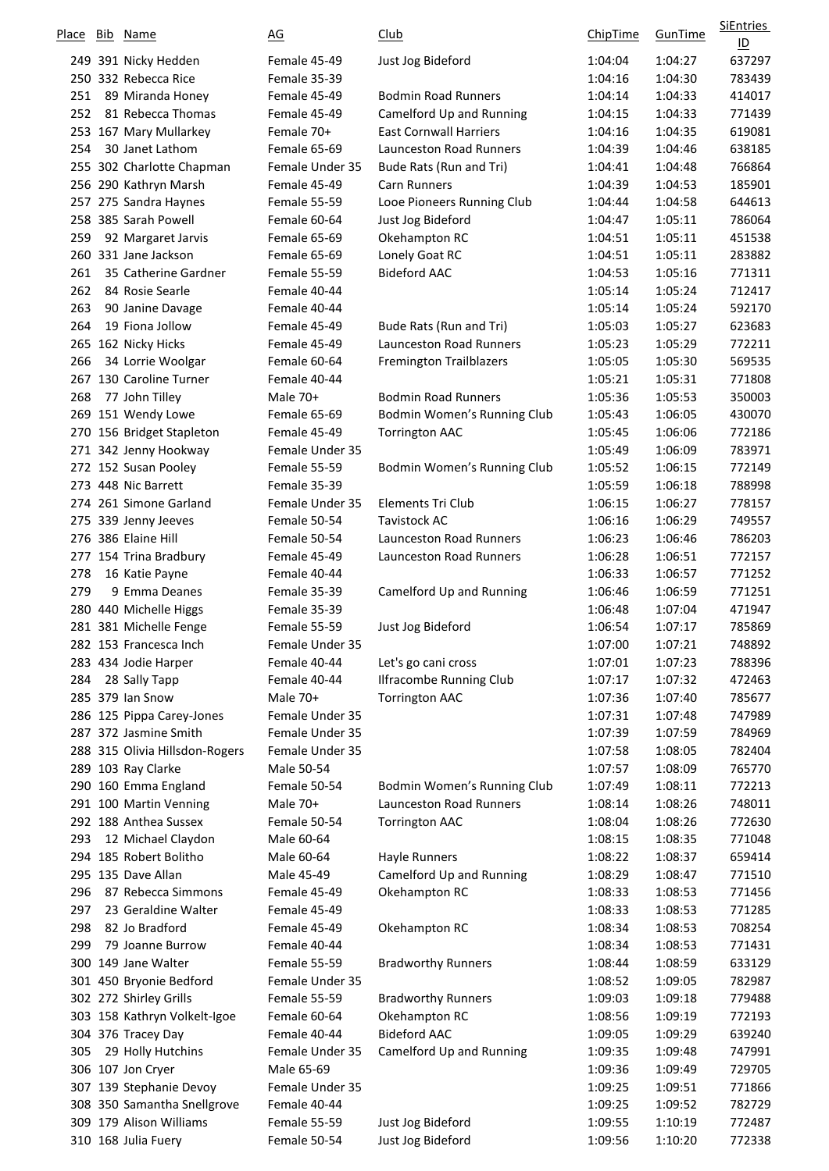| <b>Place</b> | Bib | Name                           | <u>AG</u>       | <u>Club</u>                    | ChipTime | GunTime | SiEntries<br>$\underline{\mathsf{ID}}$ |
|--------------|-----|--------------------------------|-----------------|--------------------------------|----------|---------|----------------------------------------|
|              |     | 249 391 Nicky Hedden           | Female 45-49    | Just Jog Bideford              | 1:04:04  | 1:04:27 | 637297                                 |
|              |     | 250 332 Rebecca Rice           | Female 35-39    |                                | 1:04:16  | 1:04:30 | 783439                                 |
| 251          |     | 89 Miranda Honey               | Female 45-49    | <b>Bodmin Road Runners</b>     | 1:04:14  | 1:04:33 | 414017                                 |
| 252          |     | 81 Rebecca Thomas              | Female 45-49    | Camelford Up and Running       | 1:04:15  | 1:04:33 | 771439                                 |
|              |     | 253 167 Mary Mullarkey         | Female 70+      | <b>East Cornwall Harriers</b>  | 1:04:16  | 1:04:35 | 619081                                 |
| 254          |     | 30 Janet Lathom                | Female 65-69    | <b>Launceston Road Runners</b> | 1:04:39  | 1:04:46 | 638185                                 |
|              |     | 255 302 Charlotte Chapman      | Female Under 35 | Bude Rats (Run and Tri)        | 1:04:41  | 1:04:48 | 766864                                 |
|              |     | 256 290 Kathryn Marsh          | Female 45-49    | <b>Carn Runners</b>            | 1:04:39  | 1:04:53 | 185901                                 |
|              |     | 257 275 Sandra Haynes          | Female 55-59    | Looe Pioneers Running Club     | 1:04:44  | 1:04:58 | 644613                                 |
|              |     | 258 385 Sarah Powell           | Female 60-64    | Just Jog Bideford              | 1:04:47  | 1:05:11 | 786064                                 |
| 259          |     | 92 Margaret Jarvis             | Female 65-69    | Okehampton RC                  | 1:04:51  | 1:05:11 | 451538                                 |
|              |     | 260 331 Jane Jackson           | Female 65-69    | Lonely Goat RC                 | 1:04:51  | 1:05:11 | 283882                                 |
| 261          |     | 35 Catherine Gardner           | Female 55-59    | <b>Bideford AAC</b>            | 1:04:53  | 1:05:16 | 771311                                 |
| 262          |     | 84 Rosie Searle                | Female 40-44    |                                | 1:05:14  | 1:05:24 | 712417                                 |
| 263          |     | 90 Janine Davage               | Female 40-44    |                                | 1:05:14  | 1:05:24 | 592170                                 |
| 264          |     | 19 Fiona Jollow                | Female 45-49    | Bude Rats (Run and Tri)        | 1:05:03  | 1:05:27 | 623683                                 |
|              |     | 265 162 Nicky Hicks            | Female 45-49    | <b>Launceston Road Runners</b> | 1:05:23  | 1:05:29 | 772211                                 |
| 266          |     | 34 Lorrie Woolgar              | Female 60-64    | <b>Fremington Trailblazers</b> | 1:05:05  | 1:05:30 | 569535                                 |
|              |     | 267 130 Caroline Turner        | Female 40-44    |                                | 1:05:21  | 1:05:31 | 771808                                 |
| 268          |     | 77 John Tilley                 | Male 70+        | <b>Bodmin Road Runners</b>     | 1:05:36  | 1:05:53 | 350003                                 |
|              |     | 269 151 Wendy Lowe             | Female 65-69    | Bodmin Women's Running Club    | 1:05:43  | 1:06:05 | 430070                                 |
|              |     | 270 156 Bridget Stapleton      | Female 45-49    | <b>Torrington AAC</b>          | 1:05:45  | 1:06:06 | 772186                                 |
|              |     | 271 342 Jenny Hookway          | Female Under 35 |                                | 1:05:49  | 1:06:09 | 783971                                 |
|              |     | 272 152 Susan Pooley           | Female 55-59    | Bodmin Women's Running Club    | 1:05:52  | 1:06:15 | 772149                                 |
|              |     | 273 448 Nic Barrett            | Female 35-39    |                                | 1:05:59  | 1:06:18 | 788998                                 |
|              |     | 274 261 Simone Garland         | Female Under 35 | Elements Tri Club              | 1:06:15  | 1:06:27 | 778157                                 |
|              |     | 275 339 Jenny Jeeves           | Female 50-54    | <b>Tavistock AC</b>            | 1:06:16  | 1:06:29 | 749557                                 |
|              |     | 276 386 Elaine Hill            | Female 50-54    | <b>Launceston Road Runners</b> | 1:06:23  | 1:06:46 | 786203                                 |
|              |     | 277 154 Trina Bradbury         | Female 45-49    | <b>Launceston Road Runners</b> | 1:06:28  | 1:06:51 | 772157                                 |
| 278          |     | 16 Katie Payne                 | Female 40-44    |                                | 1:06:33  | 1:06:57 | 771252                                 |
| 279          |     | 9 Emma Deanes                  | Female 35-39    | Camelford Up and Running       | 1:06:46  | 1:06:59 | 771251                                 |
|              |     | 280 440 Michelle Higgs         | Female 35-39    |                                | 1:06:48  | 1:07:04 | 471947                                 |
|              |     | 281 381 Michelle Fenge         | Female 55-59    | Just Jog Bideford              | 1:06:54  | 1:07:17 | 785869                                 |
|              |     | 282 153 Francesca Inch         | Female Under 35 |                                | 1:07:00  | 1:07:21 | 748892                                 |
|              |     | 283 434 Jodie Harper           | Female 40-44    | Let's go cani cross            | 1:07:01  | 1:07:23 | 788396                                 |
| 284          |     | 28 Sally Tapp                  | Female 40-44    | <b>Ilfracombe Running Club</b> | 1:07:17  | 1:07:32 | 472463                                 |
|              |     | 285 379 Ian Snow               | Male 70+        | <b>Torrington AAC</b>          | 1:07:36  | 1:07:40 | 785677                                 |
|              |     | 286 125 Pippa Carey-Jones      | Female Under 35 |                                | 1:07:31  | 1:07:48 | 747989                                 |
|              |     | 287 372 Jasmine Smith          | Female Under 35 |                                | 1:07:39  | 1:07:59 | 784969                                 |
|              |     | 288 315 Olivia Hillsdon-Rogers | Female Under 35 |                                | 1:07:58  | 1:08:05 | 782404                                 |
|              |     | 289 103 Ray Clarke             | Male 50-54      |                                | 1:07:57  | 1:08:09 | 765770                                 |
|              |     | 290 160 Emma England           | Female 50-54    | Bodmin Women's Running Club    | 1:07:49  | 1:08:11 | 772213                                 |
|              |     | 291 100 Martin Venning         | Male 70+        | <b>Launceston Road Runners</b> | 1:08:14  | 1:08:26 | 748011                                 |
|              |     | 292 188 Anthea Sussex          | Female 50-54    | <b>Torrington AAC</b>          | 1:08:04  | 1:08:26 | 772630                                 |
| 293          |     | 12 Michael Claydon             | Male 60-64      |                                | 1:08:15  | 1:08:35 | 771048                                 |
|              |     | 294 185 Robert Bolitho         | Male 60-64      | <b>Hayle Runners</b>           | 1:08:22  | 1:08:37 | 659414                                 |
|              |     | 295 135 Dave Allan             | Male 45-49      | Camelford Up and Running       | 1:08:29  | 1:08:47 | 771510                                 |
| 296          |     | 87 Rebecca Simmons             | Female 45-49    | Okehampton RC                  | 1:08:33  | 1:08:53 | 771456                                 |
| 297          |     | 23 Geraldine Walter            | Female 45-49    |                                | 1:08:33  | 1:08:53 | 771285                                 |
| 298          |     | 82 Jo Bradford                 | Female 45-49    | Okehampton RC                  | 1:08:34  | 1:08:53 | 708254                                 |
| 299          |     | 79 Joanne Burrow               | Female 40-44    |                                | 1:08:34  | 1:08:53 | 771431                                 |
|              |     | 300 149 Jane Walter            | Female 55-59    | <b>Bradworthy Runners</b>      | 1:08:44  | 1:08:59 | 633129                                 |
|              |     | 301 450 Bryonie Bedford        | Female Under 35 |                                | 1:08:52  | 1:09:05 | 782987                                 |
|              |     | 302 272 Shirley Grills         | Female 55-59    | <b>Bradworthy Runners</b>      | 1:09:03  | 1:09:18 | 779488                                 |
|              |     | 303 158 Kathryn Volkelt-Igoe   | Female 60-64    | Okehampton RC                  | 1:08:56  | 1:09:19 | 772193                                 |
|              |     | 304 376 Tracey Day             | Female 40-44    | <b>Bideford AAC</b>            | 1:09:05  | 1:09:29 | 639240                                 |
| 305          |     | 29 Holly Hutchins              | Female Under 35 | Camelford Up and Running       | 1:09:35  | 1:09:48 | 747991                                 |
|              |     | 306 107 Jon Cryer              | Male 65-69      |                                | 1:09:36  | 1:09:49 | 729705                                 |
|              |     | 307 139 Stephanie Devoy        | Female Under 35 |                                | 1:09:25  | 1:09:51 | 771866                                 |
|              |     | 308 350 Samantha Snellgrove    | Female 40-44    |                                | 1:09:25  | 1:09:52 | 782729                                 |
|              |     | 309 179 Alison Williams        | Female 55-59    | Just Jog Bideford              | 1:09:55  | 1:10:19 | 772487                                 |
|              |     | 310 168 Julia Fuery            | Female 50-54    | Just Jog Bideford              | 1:09:56  | 1:10:20 | 772338                                 |